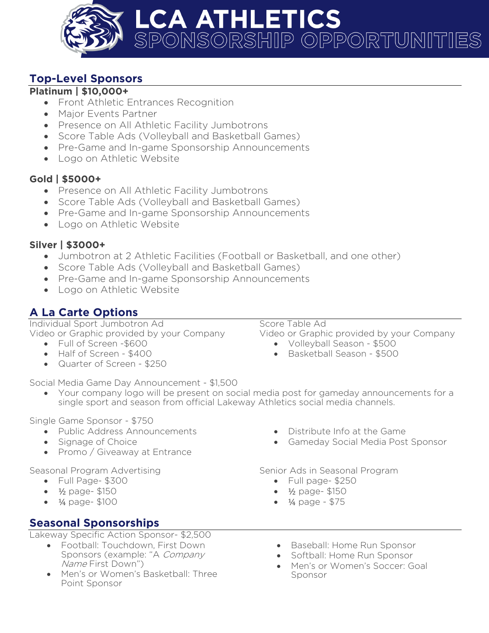

## **Top-Level Sponsors**

#### **Platinum | \$10,000+**

- Front Athletic Entrances Recognition
- Major Events Partner
- Presence on All Athletic Facility Jumbotrons
- Score Table Ads (Volleyball and Basketball Games)
- Pre-Game and In-game Sponsorship Announcements
- Logo on Athletic Website

### **Gold | \$5000+**

- Presence on All Athletic Facility Jumbotrons
- Score Table Ads (Volleyball and Basketball Games)
- Pre-Game and In-game Sponsorship Announcements
- Logo on Athletic Website

### **Silver | \$3000+**

- Jumbotron at 2 Athletic Facilities (Football or Basketball, and one other)
- Score Table Ads (Volleyball and Basketball Games)
- Pre-Game and In-game Sponsorship Announcements
- Logo on Athletic Website

## **A La Carte Options**

Individual Sport Jumbotron Ad Video or Graphic provided by your Company

- Full of Screen -\$600
- Half of Screen \$400
- Quarter of Screen \$250

Score Table Ad

Video or Graphic provided by your Company

- Volleyball Season \$500
- Basketball Season \$500

Social Media Game Day Announcement - \$1,500

• Your company logo will be present on social media post for gameday announcements for a single sport and season from official Lakeway Athletics social media channels.

Single Game Sponsor - \$750

- Public Address Announcements
- Signage of Choice
- Promo / Giveaway at Entrance

Seasonal Program Advertising

- Full Page- \$300
- ½ page- \$150
- ¼ page- \$100

## **Seasonal Sponsorships**

Lakeway Specific Action Sponsor- \$2,500

- Football: Touchdown, First Down Sponsors (example: "A Company Name First Down")
- Men's or Women's Basketball: Three Point Sponsor
- Distribute Info at the Game
- Gameday Social Media Post Sponsor

Senior Ads in Seasonal Program

- Full page- \$250
- ½ page- \$150
- ¼ page \$75
- Baseball: Home Run Sponsor
- Softball: Home Run Sponsor
- Men's or Women's Soccer: Goal Sponsor